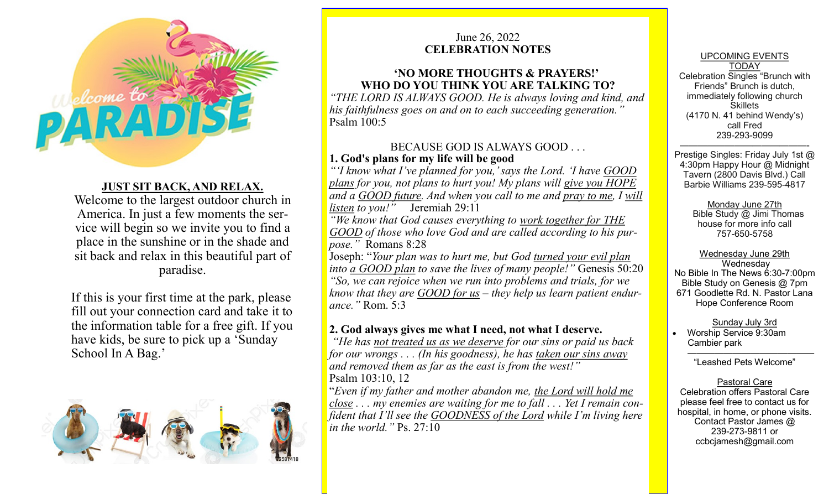

# **JUST SIT BACK, AND RELAX.**

Welcome to the largest outdoor church in America. In just a few moments the service will begin so we invite you to find a place in the sunshine or in the shade and sit back and relax in this beautiful part of paradise.

If this is your first time at the park, please fill out your connection card and take it to the information table for a free gift. If you have kids, be sure to pick up a 'Sunday School In A Bag.'



## June 26, 2022 **CELEBRATION NOTES**

# **'NO MORE THOUGHTS & PRAYERS!' WHO DO YOU THINK YOU ARE TALKING TO?**

*"THE LORD IS ALWAYS GOOD. He is always loving and kind, and his faithfulness goes on and on to each succeeding generation."* Psalm 100:5

### BECAUSE GOD IS ALWAYS GOOD . . . **1. God's plans for my life will be good**

*"'I know what I've planned for you,' says the Lord. 'I have GOOD plans for you, not plans to hurt you! My plans will give you HOPE and a GOOD future. And when you call to me and pray to me, I will listen to you!"* Jeremiah 29:11

*"We know that God causes everything to work together for THE GOOD of those who love God and are called according to his purpose."* Romans 8:28

Joseph: "*Your plan was to hurt me, but God turned your evil plan into a GOOD plan to save the lives of many people!"* Genesis 50:20 *"So, we can rejoice when we run into problems and trials, for we know that they are GOOD for us – they help us learn patient endurance."* Rom. 5:3

# **2. God always gives me what I need, not what I deserve.**

*"He has not treated us as we deserve for our sins or paid us back for our wrongs . . . (In his goodness), he has taken our sins away and removed them as far as the east is from the west!"* 

Psalm 103:10, 12

"*Even if my father and mother abandon me, the Lord will hold me close . . . my enemies are waiting for me to fall . . . Yet I remain confident that I'll see the GOODNESS of the Lord while I'm living here in the world."* Ps. 27:10

UPCOMING EVENTS TODAY Celebration Singles "Brunch with Friends" Brunch is dutch, immediately following church **Skillets** (4170 N. 41 behind Wendy's) call Fred 239-293-9099

——————————————- Prestige Singles: Friday July 1st @ 4:30pm Happy Hour @ Midnight Tavern (2800 Davis Blvd.) Call Barbie Williams 239-595-4817

#### Monday June 27th

 Bible Study @ Jimi Thomas house for more info call 757-650-5758

### Wednesday June 29th

**Wednesday** No Bible In The News 6:30-7:00pm Bible Study on Genesis @ 7pm 671 Goodlette Rd. N. Pastor Lana Hope Conference Room

Sunday July 3rd

 Worship Service 9:30am Cambier park

 $\overline{\phantom{a}}$  , and the contract of the contract of the contract of the contract of the contract of the contract of the contract of the contract of the contract of the contract of the contract of the contract of the contrac "Leashed Pets Welcome"

#### Pastoral Care

Celebration offers Pastoral Care please feel free to contact us for hospital, in home, or phone visits. Contact Pastor James @ 239-273-9811 or ccbcjamesh@gmail.com